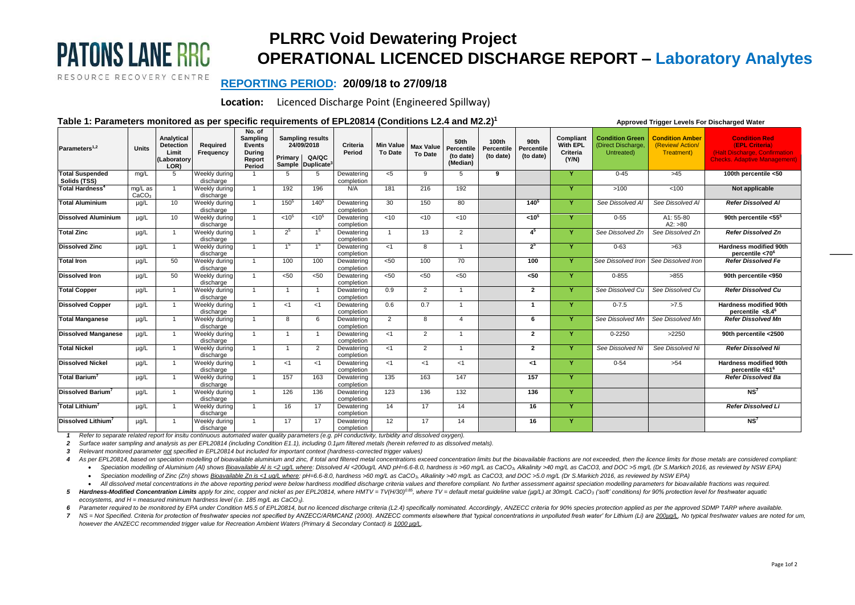# **PATONS LANE RRC**

RESOURCE RECOVERY CENTRE

# **PLRRC Void Dewatering Project OPERATIONAL LICENCED DISCHARGE REPORT – Laboratory Analytes**

 **Approved Trigger Levels For Discharged Water**

## **REPORTING PERIOD: 20/09/18 to 27/09/18**

**Location:** Licenced Discharge Point (Engineered Spillway)

### **Table 1: Parameters monitored as per specific requirements of EPL20814 (Conditions L2.4 and M2.2) 1**

| Parameters <sup>1,2</sup>              | <b>Units</b>                 | Analytical<br><b>Detection</b><br>Limit<br>Laboratory<br>LOR) | Required<br>Frequency      | No. of<br>Sampling<br>Events<br><b>During</b><br>Report<br>Period | Primary           | <b>Sampling results</b><br>24/09/2018<br><b>QA/QC</b><br>Sample Duplicate <sup>3</sup> | Criteria<br>Period       | <b>Min Value</b><br><b>To Date</b> | <b>Max Value</b><br>To Date | 50th<br>Percentile<br>(to date)<br>(Median) | 100th<br>Percentile<br>(to date) | 90th<br><b>Percentile</b><br>(to date) | Compliant<br><b>With EPL</b><br>Criteria<br>(Y/N) | <b>Condition Green</b><br>(Direct Discharge,<br>Untreated) | <b>Condition Amber</b><br>(Review/Action/<br>Treatment) | <b>Condition Red</b><br>(EPL Criteria)<br>(Halt Discharge, Confirmation<br><b>Checks. Adaptive Management)</b> |
|----------------------------------------|------------------------------|---------------------------------------------------------------|----------------------------|-------------------------------------------------------------------|-------------------|----------------------------------------------------------------------------------------|--------------------------|------------------------------------|-----------------------------|---------------------------------------------|----------------------------------|----------------------------------------|---------------------------------------------------|------------------------------------------------------------|---------------------------------------------------------|----------------------------------------------------------------------------------------------------------------|
| <b>Total Suspended</b><br>Solids (TSS) | mq/L                         | 5                                                             | Weekly during<br>discharge |                                                                   | 5                 | -5                                                                                     | Dewatering<br>completion | <5                                 | 9                           | 5                                           | 9                                |                                        | v                                                 | $0 - 45$                                                   | >45                                                     | 100th percentile <50                                                                                           |
| Total Hardness <sup>4</sup>            | mg/L as<br>CaCO <sub>3</sub> |                                                               | Weekly during<br>discharge | $\mathbf{1}$                                                      | 192               | 196                                                                                    | N/A                      | 181                                | 216                         | 192                                         |                                  |                                        | v                                                 | >100                                                       | < 100                                                   | Not applicable                                                                                                 |
| <b>Total Aluminium</b>                 | $\mu$ g/L                    | 10                                                            | Weekly during<br>discharge | $\overline{1}$                                                    | $150^{5}$         | $140^{5}$                                                                              | Dewatering<br>completion | 30                                 | 150                         | 80                                          |                                  | $140^{5}$                              | <b>V</b>                                          | See Dissolved Al                                           | See Dissolved Al                                        | <b>Refer Dissolved Al</b>                                                                                      |
| <b>Dissolved Aluminium</b>             | $\mu$ g/L                    | 10 <sup>1</sup>                                               | Weekly during<br>discharge | $\overline{1}$                                                    | < 10 <sup>5</sup> | < 10 <sup>5</sup>                                                                      | Dewatering<br>completion | < 10                               | < 10                        | < 10                                        |                                  | < 10 <sup>5</sup>                      | v                                                 | $0 - 55$                                                   | A1: 55-80<br>A2: >80                                    | 90th percentile <55 <sup>5</sup>                                                                               |
| <b>Total Zinc</b>                      | $\mu$ g/L                    | -1                                                            | Weekly during<br>discharge | $\overline{1}$                                                    | 2 <sup>5</sup>    | 1 <sup>5</sup>                                                                         | Dewatering<br>completion | $\overline{1}$                     | 13                          | 2                                           |                                  | 45                                     | Y                                                 | See Dissolved Zn                                           | See Dissolved Zn                                        | <b>Refer Dissolved Zn</b>                                                                                      |
| <b>Dissolved Zinc</b>                  | $\mu$ g/L                    | $\overline{1}$                                                | Weekly during<br>discharge | $\overline{1}$                                                    | 1 <sup>5</sup>    | 1 <sup>5</sup>                                                                         | Dewatering<br>completion | $<$ 1                              | 8                           | $\overline{1}$                              |                                  | 2 <sup>5</sup>                         | Y                                                 | $0 - 63$                                                   | >63                                                     | <b>Hardness modified 90th</b><br>percentile <70 <sup>6</sup>                                                   |
| <b>Total Iron</b>                      | $\mu q/L$                    | 50                                                            | Weekly during<br>discharge | -1                                                                | 100               | 100                                                                                    | Dewatering<br>completion | < 50                               | 100                         | 70                                          |                                  | 100                                    | $\mathbf{Y}$                                      | See Dissolved Iron                                         | See Dissolved Iron                                      | <b>Refer Dissolved Fe</b>                                                                                      |
| <b>Dissolved Iron</b>                  | $\mu$ g/L                    | 50                                                            | Weekly during<br>discharge | $\overline{1}$                                                    | $50$              | < 50                                                                                   | Dewatering<br>completion | < 50                               | < 50                        | <50                                         |                                  | <50                                    | $\mathbf{v}$                                      | $0 - 855$                                                  | >855                                                    | 90th percentile <950                                                                                           |
| <b>Total Copper</b>                    | $\mu$ g/L                    |                                                               | Weekly during<br>discharge | - 1                                                               | $\overline{1}$    | $\overline{1}$                                                                         | Dewatering<br>completion | 0.9                                | 2                           | -1                                          |                                  | $\overline{2}$                         | $\mathbf{v}$                                      | See Dissolved Cu                                           | See Dissolved Cu                                        | <b>Refer Dissolved Cu</b>                                                                                      |
| <b>Dissolved Copper</b>                | $\mu q/L$                    | -1                                                            | Weekly during<br>discharge | $\overline{1}$                                                    | < 1               | < 1                                                                                    | Dewatering<br>completion | 0.6                                | 0.7                         | $\overline{1}$                              |                                  | -1                                     | v                                                 | $0 - 7.5$                                                  | >7.5                                                    | <b>Hardness modified 90th</b><br>percentile $<8.4^6$                                                           |
| <b>Total Manganese</b>                 | $\mu q/L$                    |                                                               | Weekly during<br>discharge | $\overline{1}$                                                    | 8                 | 6                                                                                      | Dewatering<br>completion | 2                                  | 8                           | $\boldsymbol{\Delta}$                       |                                  | 6                                      | $\mathbf{v}$                                      | See Dissolved Mr.                                          | See Dissolved Mn                                        | <b>Refer Dissolved Mn</b>                                                                                      |
| <b>Dissolved Manganese</b>             | $\mu$ g/L                    | -1                                                            | Weekly during<br>discharge | $\overline{1}$                                                    | $\overline{1}$    | $\overline{1}$                                                                         | Dewatering<br>completion | <1                                 | $\overline{2}$              | $\overline{1}$                              |                                  | $\overline{2}$                         | Y                                                 | $0 - 2250$                                                 | >2250                                                   | 90th percentile <2500                                                                                          |
| <b>Total Nickel</b>                    | $\mu$ g/L                    | - 1                                                           | Weekly during<br>discharge | $\overline{1}$                                                    | $\overline{1}$    | 2                                                                                      | Dewatering<br>completion | <1                                 | 2                           | -1                                          |                                  | $\overline{2}$                         | Y                                                 | See Dissolved Ni                                           | See Dissolved Ni                                        | <b>Refer Dissolved Ni</b>                                                                                      |
| <b>Dissolved Nickel</b>                | $\mu$ g/L                    |                                                               | Weekly during<br>discharge | -1                                                                | $<$ 1             | <1                                                                                     | Dewatering<br>completion | $<$ 1                              | $<$ 1                       | <1                                          |                                  | -1                                     | <b>Y</b>                                          | $0 - 54$                                                   | >54                                                     | <b>Hardness modified 90th</b><br>percentile <61 <sup>6</sup>                                                   |
| Total Barium <sup>3</sup>              | $\mu q/L$                    | -1                                                            | Weekly during<br>discharge | $\overline{1}$                                                    | 157               | 163                                                                                    | Dewatering<br>completion | 135                                | 163                         | 147                                         |                                  | 157                                    | $\mathbf{Y}$                                      |                                                            |                                                         | <b>Refer Dissolved Ba</b>                                                                                      |
| <b>Dissolved Barium</b>                | $\mu q/L$                    |                                                               | Weekly during<br>discharge | -1                                                                | 126               | 136                                                                                    | Dewatering<br>completion | 123                                | 136                         | 132                                         |                                  | 136                                    | $\mathbf{v}$                                      |                                                            |                                                         | NS <sup>7</sup>                                                                                                |
| Total Lithium <sup>7</sup>             | $\mu q/L$                    | -1                                                            | Weekly during<br>discharge | $\overline{1}$                                                    | 16                | 17                                                                                     | Dewatering<br>completion | 14                                 | 17                          | 14                                          |                                  | 16                                     | v                                                 |                                                            |                                                         | <b>Refer Dissolved Li</b>                                                                                      |
| Dissolved Lithium <sup>7</sup>         | µg/L                         |                                                               | Weekly during<br>discharge | -1                                                                | 17                | 17                                                                                     | Dewatering<br>completion | 12                                 | 17                          | 14                                          |                                  | 16                                     | v                                                 |                                                            |                                                         | NS <sup>7</sup>                                                                                                |

*1 Refer to separate related report for insitu continuous automated water quality parameters (e.g. pH conductivity, turbidity and dissolved oxygen).*

2 Surface water sampling and analysis as per EPL20814 (including Condition E1.1), including 0.1µm filtered metals (herein referred to as dissolved metals).

*3 Relevant monitored parameter not specified in EPL20814 but included for important context (hardness-corrected trigger values)*

4 As per EPL20814, based on speciation modelling of bioavailable aluminium and zinc, if total and filtered metal concentrations exceed concentration limits but the bioavailable fractions are not exceeded, then the licence

• Speciation modelling of Aluminium (Al) shows Bioavailable Al is <2 uq/L where: Dissolved Al <20uq/L AND pH=6.6-8.0, hardness is >60 mq/L as CaCO3, Alkalinity >40 mq/L as CaCO3, and DOC >5 mq/L (Dr S.Markich 2016, as revi

• Speciation modelling of Zinc (Zn) shows Bioavailable Zn is <1 ug/L where: pH=6.6-8.0, hardness >60 mg/L as CaCO3, Alkalinity >40 mg/L as CaCO3, and DOC >5.0 mg/L (Dr S.Markich 2016, as reviewed by NSW EPA)

• All dissolved metal concentrations in the above reporting period were below hardness modified discharge criteria values and therefore compliant. No further assessment against speciation modelling parameters for bioavaila 5 Hardness-Modified Concentration Limits apply for zinc, copper and nickel as per EPL20814, where HMTV=TV(H/30)<sup>0.85</sup>, where TV = default metal guideline value (µg/L) at 30mg/L CaCO<sub>3</sub> ('soft' conditions) for 90% protectio *ecosystems, and H = measured minimum hardness level (i.e. 185 mg/L as CaCO3).*

6 Parameter required to be monitored by EPA under Condition M5.5 of EPL20814, but no licenced discharge criteria (L2.4) specifically nominated. Accordingly, ANZECC criteria for 90% species protection applied as per the app

7 NS = Not Specified. Criteria for protection of freshwater species not specified by ANZECC/ARMCANZ (2000). ANZECC comments elsewhere that 'typical concentrations in unpolluted fresh water' for Lithium (Li) are 200ug/L. No *however the ANZECC recommended trigger value for Recreation Ambient Waters (Primary & Secondary Contact) is 1000 µg/L.*